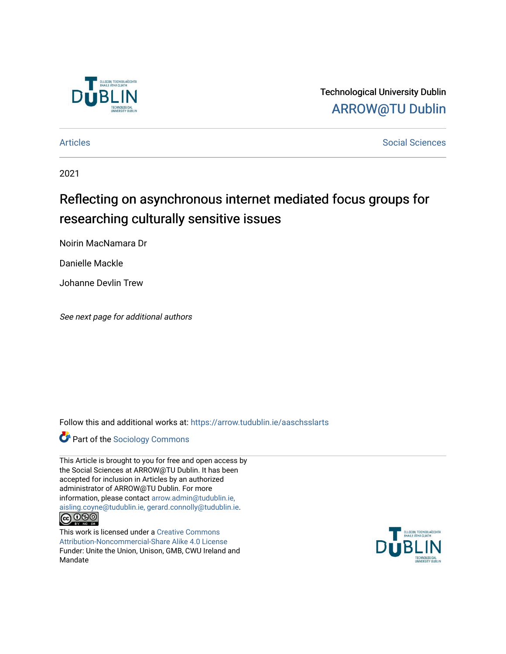

Technological University Dublin [ARROW@TU Dublin](https://arrow.tudublin.ie/) 

[Articles](https://arrow.tudublin.ie/aaschsslarts) **Social Sciences** [Social Sciences](https://arrow.tudublin.ie/aaschss) **Social Sciences** 

2021

# Reflecting on asynchronous internet mediated focus groups for researching culturally sensitive issues

Noirin MacNamara Dr

Danielle Mackle

Johanne Devlin Trew

See next page for additional authors

Follow this and additional works at: [https://arrow.tudublin.ie/aaschsslarts](https://arrow.tudublin.ie/aaschsslarts?utm_source=arrow.tudublin.ie%2Faaschsslarts%2F88&utm_medium=PDF&utm_campaign=PDFCoverPages)

**Part of the [Sociology Commons](http://network.bepress.com/hgg/discipline/416?utm_source=arrow.tudublin.ie%2Faaschsslarts%2F88&utm_medium=PDF&utm_campaign=PDFCoverPages)** 

This Article is brought to you for free and open access by the Social Sciences at ARROW@TU Dublin. It has been accepted for inclusion in Articles by an authorized administrator of ARROW@TU Dublin. For more information, please contact [arrow.admin@tudublin.ie,](mailto:arrow.admin@tudublin.ie,%20aisling.coyne@tudublin.ie,%20gerard.connolly@tudublin.ie)  [aisling.coyne@tudublin.ie, gerard.connolly@tudublin.ie](mailto:arrow.admin@tudublin.ie,%20aisling.coyne@tudublin.ie,%20gerard.connolly@tudublin.ie).  $\bigodot \, 0 \, 0 \, 0$ 

This work is licensed under a [Creative Commons](http://creativecommons.org/licenses/by-nc-sa/4.0/) [Attribution-Noncommercial-Share Alike 4.0 License](http://creativecommons.org/licenses/by-nc-sa/4.0/) Funder: Unite the Union, Unison, GMB, CWU Ireland and Mandate

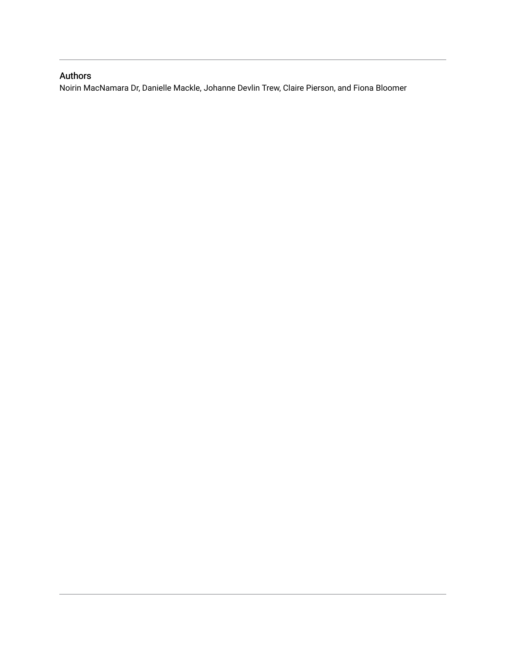## Authors

Noirin MacNamara Dr, Danielle Mackle, Johanne Devlin Trew, Claire Pierson, and Fiona Bloomer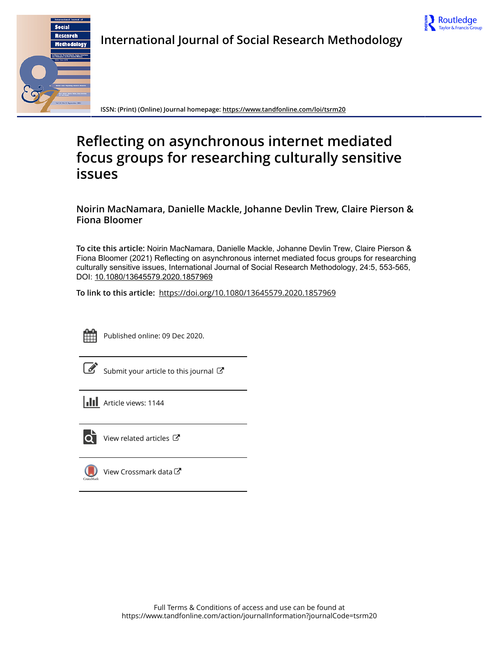





**ISSN: (Print) (Online) Journal homepage:<https://www.tandfonline.com/loi/tsrm20>**

# **Reflecting on asynchronous internet mediated focus groups for researching culturally sensitive issues**

### **Noirin MacNamara, Danielle Mackle, Johanne Devlin Trew, Claire Pierson & Fiona Bloomer**

**To cite this article:** Noirin MacNamara, Danielle Mackle, Johanne Devlin Trew, Claire Pierson & Fiona Bloomer (2021) Reflecting on asynchronous internet mediated focus groups for researching culturally sensitive issues, International Journal of Social Research Methodology, 24:5, 553-565, DOI: [10.1080/13645579.2020.1857969](https://www.tandfonline.com/action/showCitFormats?doi=10.1080/13645579.2020.1857969)

**To link to this article:** <https://doi.org/10.1080/13645579.2020.1857969>



Published online: 09 Dec 2020.

[Submit your article to this journal](https://www.tandfonline.com/action/authorSubmission?journalCode=tsrm20&show=instructions)  $\mathbb{Z}$ 

**III** Article views: 1144



[View related articles](https://www.tandfonline.com/doi/mlt/10.1080/13645579.2020.1857969)  $\mathbb{Z}$ 



 $\bigcirc$  [View Crossmark data](http://crossmark.crossref.org/dialog/?doi=10.1080/13645579.2020.1857969&domain=pdf&date_stamp=2020-12-09) $\mathbb{Z}$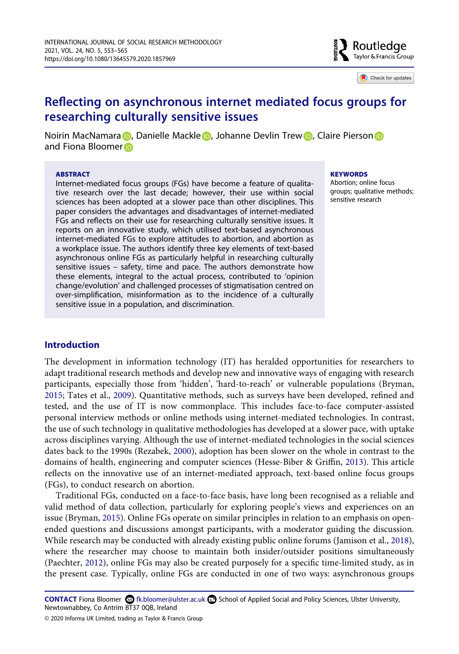

Check for updates

# **Reflecting on asynchronous internet mediated focus groups for researching culturally sensitive issues**

Noirin M[a](http://orcid.org/0000-0002-6220-571X)cNamara **D**, Dani[e](http://orcid.org/0000-0001-7638-6200)lle Mackle **D**, Johanne Devlin Tre[w](http://orcid.org/0000-0003-4563-1239) **D**, Claire Pierso[n](http://orcid.org/0000-0003-0961-7157) D and Fiona Bloome[r](http://orcid.org/0000-0003-3347-6403)<sup>1</sup>

#### **ABSTRACT**

Internet-mediated focus groups (FGs) have become a feature of qualitative research over the last decade; however, their use within social sciences has been adopted at a slower pace than other disciplines. This paper considers the advantages and disadvantages of internet-mediated FGs and reflects on their use for researching culturally sensitive issues. It reports on an innovative study, which utilised text-based asynchronous internet-mediated FGs to explore attitudes to abortion, and abortion as a workplace issue. The authors identify three key elements of text-based asynchronous online FGs as particularly helpful in researching culturally sensitive issues – safety, time and pace. The authors demonstrate how these elements, integral to the actual process, contributed to 'opinion change/evolution' and challenged processes of stigmatisation centred on over-simplification, misinformation as to the incidence of a culturally sensitive issue in a population, and discrimination.

#### **KEYWORDS**

Abortion; online focus groups; qualitative methods; sensitive research

#### **Introduction**

<span id="page-3-5"></span>The development in information technology (IT) has heralded opportunities for researchers to adapt traditional research methods and develop new and innovative ways of engaging with research participants, especially those from 'hidden', 'hard-to-reach' or vulnerable populations (Bryman, [2015](#page-14-0); Tates et al., [2009](#page-14-1)). Quantitative methods, such as surveys have been developed, refined and tested, and the use of IT is now commonplace. This includes face-to-face computer-assisted personal interview methods or online methods using internet-mediated technologies. In contrast, the use of such technology in qualitative methodologies has developed at a slower pace, with uptake across disciplines varying. Although the use of internet-mediated technologies in the social sciences dates back to the 1990s (Rezabek, [2000\)](#page-14-2), adoption has been slower on the whole in contrast to the domains of health, engineering and computer sciences (Hesse-Biber & Griffin, [2013\)](#page-14-3). This article reflects on the innovative use of an internet-mediated approach, text-based online focus groups (FGs), to conduct research on abortion.

<span id="page-3-4"></span><span id="page-3-2"></span><span id="page-3-1"></span><span id="page-3-0"></span>Traditional FGs, conducted on a face-to-face basis, have long been recognised as a reliable and valid method of data collection, particularly for exploring people's views and experiences on an issue (Bryman, [2015](#page-14-0)). Online FGs operate on similar principles in relation to an emphasis on openended questions and discussions amongst participants, with a moderator guiding the discussion. While research may be conducted with already existing public online forums (Jamison et al., [2018](#page-14-4)), where the researcher may choose to maintain both insider/outsider positions simultaneously (Paechter, [2012\)](#page-14-5), online FGs may also be created purposely for a specific time-limited study, as in the present case. Typically, online FGs are conducted in one of two ways: asynchronous groups

<span id="page-3-3"></span>CONTACT Fiona Bloomer **in a state of the School of Applied Social and Policy Sciences, Ulster University,** Newtownabbey, Co Antrim BT37 0QB, Ireland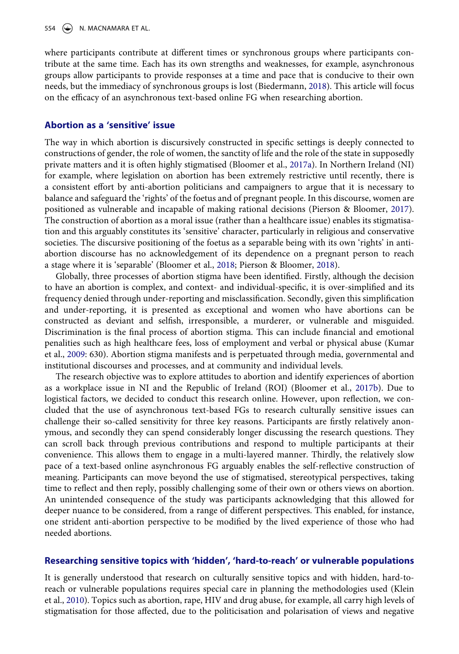<span id="page-4-0"></span>where participants contribute at different times or synchronous groups where participants contribute at the same time. Each has its own strengths and weaknesses, for example, asynchronous groups allow participants to provide responses at a time and pace that is conducive to their own needs, but the immediacy of synchronous groups is lost (Biedermann, [2018](#page-13-0)). This article will focus on the efficacy of an asynchronous text-based online FG when researching abortion.

#### **Abortion as a 'sensitive' issue**

<span id="page-4-6"></span><span id="page-4-2"></span>The way in which abortion is discursively constructed in specific settings is deeply connected to constructions of gender, the role of women, the sanctity of life and the role of the state in supposedly private matters and it is often highly stigmatised (Bloomer et al., [2017a](#page-14-6)). In Northern Ireland (NI) for example, where legislation on abortion has been extremely restrictive until recently, there is a consistent effort by anti-abortion politicians and campaigners to argue that it is necessary to balance and safeguard the 'rights' of the foetus and of pregnant people. In this discourse, women are positioned as vulnerable and incapable of making rational decisions (Pierson & Bloomer, [2017](#page-14-7)). The construction of abortion as a moral issue (rather than a healthcare issue) enables its stigmatisation and this arguably constitutes its 'sensitive' character, particularly in religious and conservative societies. The discursive positioning of the foetus as a separable being with its own 'rights' in antiabortion discourse has no acknowledgement of its dependence on a pregnant person to reach a stage where it is 'separable' (Bloomer et al., [2018](#page-14-8); Pierson & Bloomer, [2018\)](#page-14-9).

<span id="page-4-3"></span>Globally, three processes of abortion stigma have been identified. Firstly, although the decision to have an abortion is complex, and context- and individual-specific, it is over-simplified and its frequency denied through under-reporting and misclassification. Secondly, given this simplification and under-reporting, it is presented as exceptional and women who have abortions can be constructed as deviant and selfish, irresponsible, a murderer, or vulnerable and misguided. Discrimination is the final process of abortion stigma. This can include financial and emotional penalities such as high healthcare fees, loss of employment and verbal or physical abuse (Kumar et al., [2009](#page-14-10): 630). Abortion stigma manifests and is perpetuated through media, governmental and institutional discourses and processes, and at community and individual levels.

<span id="page-4-5"></span><span id="page-4-1"></span>The research objective was to explore attitudes to abortion and identify experiences of abortion as a workplace issue in NI and the Republic of Ireland (ROI) (Bloomer et al., [2017b](#page-14-11)). Due to logistical factors, we decided to conduct this research online. However, upon reflection, we concluded that the use of asynchronous text-based FGs to research culturally sensitive issues can challenge their so-called sensitivity for three key reasons. Participants are firstly relatively anonymous, and secondly they can spend considerably longer discussing the research questions. They can scroll back through previous contributions and respond to multiple participants at their convenience. This allows them to engage in a multi-layered manner. Thirdly, the relatively slow pace of a text-based online asynchronous FG arguably enables the self-reflective construction of meaning. Participants can move beyond the use of stigmatised, stereotypical perspectives, taking time to reflect and then reply, possibly challenging some of their own or others views on abortion. An unintended consequence of the study was participants acknowledging that this allowed for deeper nuance to be considered, from a range of different perspectives. This enabled, for instance, one strident anti-abortion perspective to be modified by the lived experience of those who had needed abortions.

#### **Researching sensitive topics with 'hidden', 'hard-to-reach' or vulnerable populations**

<span id="page-4-4"></span>It is generally understood that research on culturally sensitive topics and with hidden, hard-toreach or vulnerable populations requires special care in planning the methodologies used (Klein et al., [2010](#page-14-12)). Topics such as abortion, rape, HIV and drug abuse, for example, all carry high levels of stigmatisation for those affected, due to the politicisation and polarisation of views and negative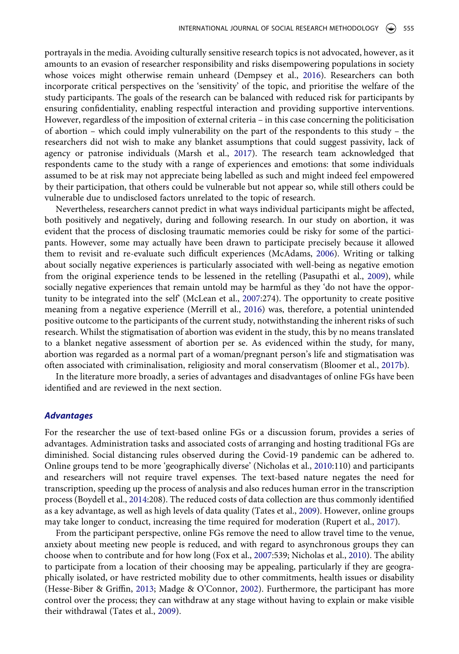<span id="page-5-1"></span>portrayals in the media. Avoiding culturally sensitive research topics is not advocated, however, as it amounts to an evasion of researcher responsibility and risks disempowering populations in society whose voices might otherwise remain unheard (Dempsey et al., [2016\)](#page-14-13). Researchers can both incorporate critical perspectives on the 'sensitivity' of the topic, and prioritise the welfare of the study participants. The goals of the research can be balanced with reduced risk for participants by ensuring confidentiality, enabling respectful interaction and providing supportive interventions. However, regardless of the imposition of external criteria – in this case concerning the politicisation of abortion – which could imply vulnerability on the part of the respondents to this study – the researchers did not wish to make any blanket assumptions that could suggest passivity, lack of agency or patronise individuals (Marsh et al., [2017\)](#page-14-14). The research team acknowledged that respondents came to the study with a range of experiences and emotions: that some individuals assumed to be at risk may not appreciate being labelled as such and might indeed feel empowered by their participation, that others could be vulnerable but not appear so, while still others could be vulnerable due to undisclosed factors unrelated to the topic of research.

<span id="page-5-8"></span><span id="page-5-5"></span><span id="page-5-4"></span>Nevertheless, researchers cannot predict in what ways individual participants might be affected, both positively and negatively, during and following research. In our study on abortion, it was evident that the process of disclosing traumatic memories could be risky for some of the participants. However, some may actually have been drawn to participate precisely because it allowed them to revisit and re-evaluate such difficult experiences (McAdams, [2006](#page-14-15)). Writing or talking about socially negative experiences is particularly associated with well-being as negative emotion from the original experience tends to be lessened in the retelling (Pasupathi et al., [2009](#page-14-16)), while socially negative experiences that remain untold may be harmful as they 'do not have the opportunity to be integrated into the self' (McLean et al., [2007:](#page-14-17)274). The opportunity to create positive meaning from a negative experience (Merrill et al., [2016\)](#page-14-18) was, therefore, a potential unintended positive outcome to the participants of the current study, notwithstanding the inherent risks of such research. Whilst the stigmatisation of abortion was evident in the study, this by no means translated to a blanket negative assessment of abortion per se. As evidenced within the study, for many, abortion was regarded as a normal part of a woman/pregnant person's life and stigmatisation was often associated with criminalisation, religiosity and moral conservatism (Bloomer et al., [2017b](#page-14-11)).

<span id="page-5-7"></span><span id="page-5-6"></span>In the literature more broadly, a series of advantages and disadvantages of online FGs have been identified and are reviewed in the next section.

#### *Advantages*

For the researcher the use of text-based online FGs or a discussion forum, provides a series of advantages. Administration tasks and associated costs of arranging and hosting traditional FGs are diminished. Social distancing rules observed during the Covid-19 pandemic can be adhered to. Online groups tend to be more 'geographically diverse' (Nicholas et al., [2010:](#page-14-19)110) and participants and researchers will not require travel expenses. The text-based nature negates the need for transcription, speeding up the process of analysis and also reduces human error in the transcription process (Boydell et al., [2014:](#page-14-20)208). The reduced costs of data collection are thus commonly identified as a key advantage, as well as high levels of data quality (Tates et al., [2009](#page-14-1)). However, online groups may take longer to conduct, increasing the time required for moderation (Rupert et al., [2017](#page-14-21)).

<span id="page-5-9"></span><span id="page-5-3"></span><span id="page-5-2"></span><span id="page-5-0"></span>From the participant perspective, online FGs remove the need to allow travel time to the venue, anxiety about meeting new people is reduced, and with regard to asynchronous groups they can choose when to contribute and for how long (Fox et al., [2007](#page-14-22):539; Nicholas et al., [2010\)](#page-14-19). The ability to participate from a location of their choosing may be appealing, particularly if they are geographically isolated, or have restricted mobility due to other commitments, health issues or disability (Hesse-Biber & Griffin, [2013](#page-14-3); Madge & O'Connor, [2002\)](#page-14-23). Furthermore, the participant has more control over the process; they can withdraw at any stage without having to explain or make visible their withdrawal (Tates et al., [2009](#page-14-1)).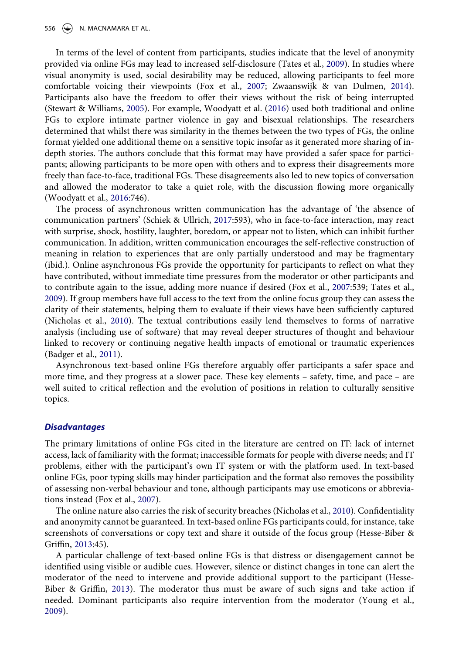556  $\left(\rightarrow\right)$  N. MACNAMARA ET AL.

<span id="page-6-5"></span><span id="page-6-2"></span>In terms of the level of content from participants, studies indicate that the level of anonymity provided via online FGs may lead to increased self-disclosure (Tates et al., [2009](#page-14-1)). In studies where visual anonymity is used, social desirability may be reduced, allowing participants to feel more comfortable voicing their viewpoints (Fox et al., [2007;](#page-14-22) Zwaanswijk & van Dulmen, [2014](#page-15-0)). Participants also have the freedom to offer their views without the risk of being interrupted (Stewart & Williams, [2005](#page-14-24)). For example, Woodyatt et al. [\(2016](#page-15-1)) used both traditional and online FGs to explore intimate partner violence in gay and bisexual relationships. The researchers determined that whilst there was similarity in the themes between the two types of FGs, the online format yielded one additional theme on a sensitive topic insofar as it generated more sharing of indepth stories. The authors conclude that this format may have provided a safer space for participants; allowing participants to be more open with others and to express their disagreements more freely than face-to-face, traditional FGs. These disagreements also led to new topics of conversation and allowed the moderator to take a quiet role, with the discussion flowing more organically (Woodyatt et al., [2016](#page-15-1):746).

<span id="page-6-3"></span><span id="page-6-1"></span>The process of asynchronous written communication has the advantage of 'the absence of communication partners' (Schiek & Ullrich, [2017](#page-14-25):593), who in face-to-face interaction, may react with surprise, shock, hostility, laughter, boredom, or appear not to listen, which can inhibit further communication. In addition, written communication encourages the self-reflective construction of meaning in relation to experiences that are only partially understood and may be fragmentary (ibid.). Online asynchronous FGs provide the opportunity for participants to reflect on what they have contributed, without immediate time pressures from the moderator or other participants and to contribute again to the issue, adding more nuance if desired (Fox et al., [2007](#page-14-22):539; Tates et al., [2009](#page-14-1)). If group members have full access to the text from the online focus group they can assess the clarity of their statements, helping them to evaluate if their views have been sufficiently captured (Nicholas et al., [2010](#page-14-19)). The textual contributions easily lend themselves to forms of narrative analysis (including use of software) that may reveal deeper structures of thought and behaviour linked to recovery or continuing negative health impacts of emotional or traumatic experiences (Badger et al., [2011](#page-13-1)).

<span id="page-6-0"></span>Asynchronous text-based online FGs therefore arguably offer participants a safer space and more time, and they progress at a slower pace. These key elements – safety, time, and pace – are well suited to critical reflection and the evolution of positions in relation to culturally sensitive topics.

#### *Disadvantages*

The primary limitations of online FGs cited in the literature are centred on IT: lack of internet access, lack of familiarity with the format; inaccessible formats for people with diverse needs; and IT problems, either with the participant's own IT system or with the platform used. In text-based online FGs, poor typing skills may hinder participation and the format also removes the possibility of assessing non-verbal behaviour and tone, although participants may use emoticons or abbreviations instead (Fox et al., [2007](#page-14-22)).

The online nature also carries the risk of security breaches (Nicholas et al., [2010\)](#page-14-19). Confidentiality and anonymity cannot be guaranteed. In text-based online FGs participants could, for instance, take screenshots of conversations or copy text and share it outside of the focus group (Hesse-Biber & Griffin, [2013](#page-14-3):45).

<span id="page-6-4"></span>A particular challenge of text-based online FGs is that distress or disengagement cannot be identified using visible or audible cues. However, silence or distinct changes in tone can alert the moderator of the need to intervene and provide additional support to the participant (Hesse-Biber & Griffin, [2013\)](#page-14-3). The moderator thus must be aware of such signs and take action if needed. Dominant participants also require intervention from the moderator (Young et al., [2009](#page-15-2)).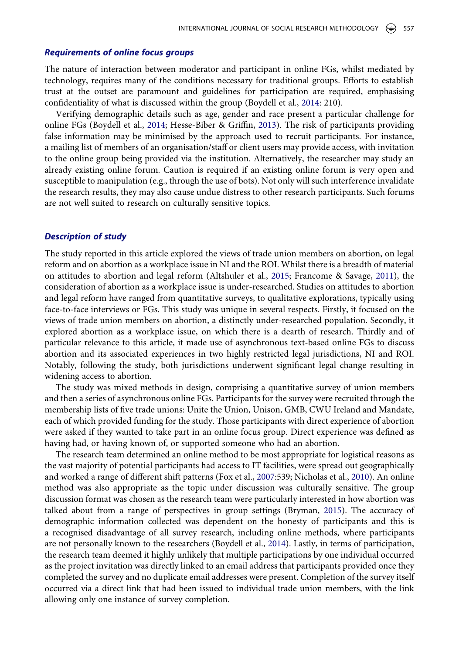#### *Requirements of online focus groups*

The nature of interaction between moderator and participant in online FGs, whilst mediated by technology, requires many of the conditions necessary for traditional groups. Efforts to establish trust at the outset are paramount and guidelines for participation are required, emphasising confidentiality of what is discussed within the group (Boydell et al., [2014](#page-14-20): 210).

Verifying demographic details such as age, gender and race present a particular challenge for online FGs (Boydell et al., [2014;](#page-14-20) Hesse-Biber & Griffin, [2013](#page-14-3)). The risk of participants providing false information may be minimised by the approach used to recruit participants. For instance, a mailing list of members of an organisation/staff or client users may provide access, with invitation to the online group being provided via the institution. Alternatively, the researcher may study an already existing online forum. Caution is required if an existing online forum is very open and susceptible to manipulation (e.g., through the use of bots). Not only will such interference invalidate the research results, they may also cause undue distress to other research participants. Such forums are not well suited to research on culturally sensitive topics.

#### *Description of study*

<span id="page-7-0"></span>The study reported in this article explored the views of trade union members on abortion, on legal reform and on abortion as a workplace issue in NI and the ROI. Whilst there is a breadth of material on attitudes to abortion and legal reform (Altshuler et al., [2015;](#page-13-2) Francome & Savage, [2011](#page-14-26)), the consideration of abortion as a workplace issue is under-researched. Studies on attitudes to abortion and legal reform have ranged from quantitative surveys, to qualitative explorations, typically using face-to-face interviews or FGs. This study was unique in several respects. Firstly, it focused on the views of trade union members on abortion, a distinctly under-researched population. Secondly, it explored abortion as a workplace issue, on which there is a dearth of research. Thirdly and of particular relevance to this article, it made use of asynchronous text-based online FGs to discuss abortion and its associated experiences in two highly restricted legal jurisdictions, NI and ROI. Notably, following the study, both jurisdictions underwent significant legal change resulting in widening access to abortion.

The study was mixed methods in design, comprising a quantitative survey of union members and then a series of asynchronous online FGs. Participants for the survey were recruited through the membership lists of five trade unions: Unite the Union, Unison, GMB, CWU Ireland and Mandate, each of which provided funding for the study. Those participants with direct experience of abortion were asked if they wanted to take part in an online focus group. Direct experience was defined as having had, or having known of, or supported someone who had an abortion.

The research team determined an online method to be most appropriate for logistical reasons as the vast majority of potential participants had access to IT facilities, were spread out geographically and worked a range of different shift patterns (Fox et al., [2007](#page-14-22):539; Nicholas et al., [2010\)](#page-14-19). An online method was also appropriate as the topic under discussion was culturally sensitive. The group discussion format was chosen as the research team were particularly interested in how abortion was talked about from a range of perspectives in group settings (Bryman, [2015](#page-14-0)). The accuracy of demographic information collected was dependent on the honesty of participants and this is a recognised disadvantage of all survey research, including online methods, where participants are not personally known to the researchers (Boydell et al., [2014](#page-14-20)). Lastly, in terms of participation, the research team deemed it highly unlikely that multiple participations by one individual occurred as the project invitation was directly linked to an email address that participants provided once they completed the survey and no duplicate email addresses were present. Completion of the survey itself occurred via a direct link that had been issued to individual trade union members, with the link allowing only one instance of survey completion.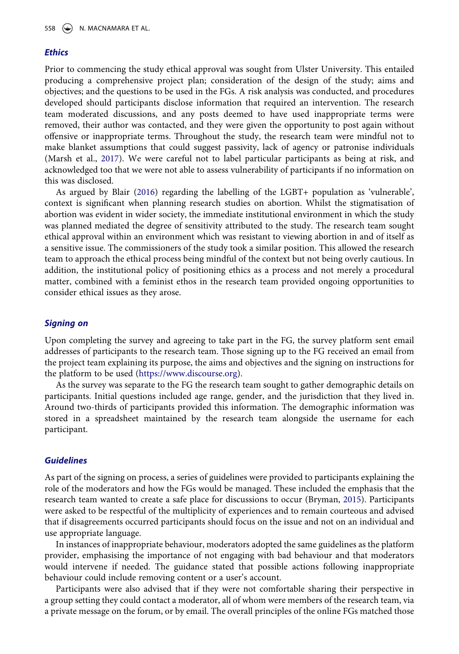#### *Ethics*

Prior to commencing the study ethical approval was sought from Ulster University. This entailed producing a comprehensive project plan; consideration of the design of the study; aims and objectives; and the questions to be used in the FGs. A risk analysis was conducted, and procedures developed should participants disclose information that required an intervention. The research team moderated discussions, and any posts deemed to have used inappropriate terms were removed, their author was contacted, and they were given the opportunity to post again without offensive or inappropriate terms. Throughout the study, the research team were mindful not to make blanket assumptions that could suggest passivity, lack of agency or patronise individuals (Marsh et al., [2017\)](#page-14-14). We were careful not to label particular participants as being at risk, and acknowledged too that we were not able to assess vulnerability of participants if no information on this was disclosed.

<span id="page-8-0"></span>As argued by Blair [\(2016](#page-13-3)) regarding the labelling of the LGBT+ population as 'vulnerable', context is significant when planning research studies on abortion. Whilst the stigmatisation of abortion was evident in wider society, the immediate institutional environment in which the study was planned mediated the degree of sensitivity attributed to the study. The research team sought ethical approval within an environment which was resistant to viewing abortion in and of itself as a sensitive issue. The commissioners of the study took a similar position. This allowed the research team to approach the ethical process being mindful of the context but not being overly cautious. In addition, the institutional policy of positioning ethics as a process and not merely a procedural matter, combined with a feminist ethos in the research team provided ongoing opportunities to consider ethical issues as they arose.

### *Signing on*

Upon completing the survey and agreeing to take part in the FG, the survey platform sent email addresses of participants to the research team. Those signing up to the FG received an email from the project team explaining its purpose, the aims and objectives and the signing on instructions for the platform to be used [\(https://www.discourse.org](https://www.discourse.org)).

As the survey was separate to the FG the research team sought to gather demographic details on participants. Initial questions included age range, gender, and the jurisdiction that they lived in. Around two-thirds of participants provided this information. The demographic information was stored in a spreadsheet maintained by the research team alongside the username for each participant.

### *Guidelines*

As part of the signing on process, a series of guidelines were provided to participants explaining the role of the moderators and how the FGs would be managed. These included the emphasis that the research team wanted to create a safe place for discussions to occur (Bryman, [2015](#page-14-0)). Participants were asked to be respectful of the multiplicity of experiences and to remain courteous and advised that if disagreements occurred participants should focus on the issue and not on an individual and use appropriate language.

In instances of inappropriate behaviour, moderators adopted the same guidelines as the platform provider, emphasising the importance of not engaging with bad behaviour and that moderators would intervene if needed. The guidance stated that possible actions following inappropriate behaviour could include removing content or a user's account.

Participants were also advised that if they were not comfortable sharing their perspective in a group setting they could contact a moderator, all of whom were members of the research team, via a private message on the forum, or by email. The overall principles of the online FGs matched those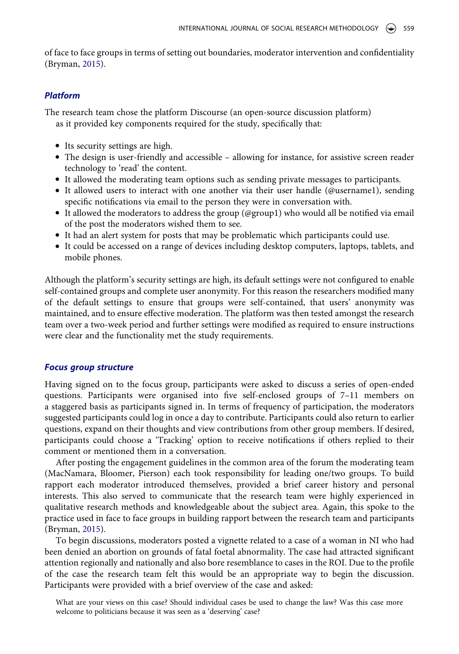of face to face groups in terms of setting out boundaries, moderator intervention and confidentiality (Bryman, [2015\)](#page-14-0).

#### *Platform*

The research team chose the platform Discourse (an open-source discussion platform) as it provided key components required for the study, specifically that:

- Its security settings are high.
- The design is user-friendly and accessible allowing for instance, for assistive screen reader technology to 'read' the content.
- It allowed the moderating team options such as sending private messages to participants.
- It allowed users to interact with one another via their user handle (@username1), sending specific notifications via email to the person they were in conversation with.
- It allowed the moderators to address the group (@group1) who would all be notified via email of the post the moderators wished them to see.
- It had an alert system for posts that may be problematic which participants could use.
- It could be accessed on a range of devices including desktop computers, laptops, tablets, and mobile phones.

Although the platform's security settings are high, its default settings were not configured to enable self-contained groups and complete user anonymity. For this reason the researchers modified many of the default settings to ensure that groups were self-contained, that users' anonymity was maintained, and to ensure effective moderation. The platform was then tested amongst the research team over a two-week period and further settings were modified as required to ensure instructions were clear and the functionality met the study requirements.

#### *Focus group structure*

Having signed on to the focus group, participants were asked to discuss a series of open-ended questions. Participants were organised into five self-enclosed groups of 7–11 members on a staggered basis as participants signed in. In terms of frequency of participation, the moderators suggested participants could log in once a day to contribute. Participants could also return to earlier questions, expand on their thoughts and view contributions from other group members. If desired, participants could choose a 'Tracking' option to receive notifications if others replied to their comment or mentioned them in a conversation.

After posting the engagement guidelines in the common area of the forum the moderating team (MacNamara, Bloomer, Pierson) each took responsibility for leading one/two groups. To build rapport each moderator introduced themselves, provided a brief career history and personal interests. This also served to communicate that the research team were highly experienced in qualitative research methods and knowledgeable about the subject area. Again, this spoke to the practice used in face to face groups in building rapport between the research team and participants (Bryman, [2015\)](#page-14-0).

To begin discussions, moderators posted a vignette related to a case of a woman in NI who had been denied an abortion on grounds of fatal foetal abnormality. The case had attracted significant attention regionally and nationally and also bore resemblance to cases in the ROI. Due to the profile of the case the research team felt this would be an appropriate way to begin the discussion. Participants were provided with a brief overview of the case and asked:

What are your views on this case? Should individual cases be used to change the law? Was this case more welcome to politicians because it was seen as a 'deserving' case?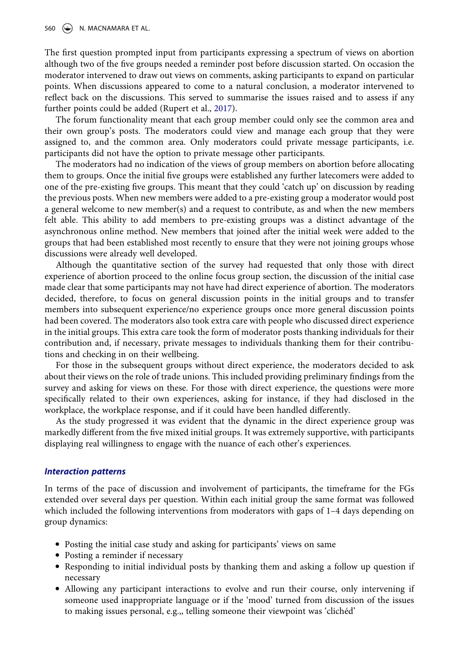The first question prompted input from participants expressing a spectrum of views on abortion although two of the five groups needed a reminder post before discussion started. On occasion the moderator intervened to draw out views on comments, asking participants to expand on particular points. When discussions appeared to come to a natural conclusion, a moderator intervened to reflect back on the discussions. This served to summarise the issues raised and to assess if any further points could be added (Rupert et al., [2017](#page-14-21)).

The forum functionality meant that each group member could only see the common area and their own group's posts. The moderators could view and manage each group that they were assigned to, and the common area. Only moderators could private message participants, i.e. participants did not have the option to private message other participants.

The moderators had no indication of the views of group members on abortion before allocating them to groups. Once the initial five groups were established any further latecomers were added to one of the pre-existing five groups. This meant that they could 'catch up' on discussion by reading the previous posts. When new members were added to a pre-existing group a moderator would post a general welcome to new member(s) and a request to contribute, as and when the new members felt able. This ability to add members to pre-existing groups was a distinct advantage of the asynchronous online method. New members that joined after the initial week were added to the groups that had been established most recently to ensure that they were not joining groups whose discussions were already well developed.

Although the quantitative section of the survey had requested that only those with direct experience of abortion proceed to the online focus group section, the discussion of the initial case made clear that some participants may not have had direct experience of abortion. The moderators decided, therefore, to focus on general discussion points in the initial groups and to transfer members into subsequent experience/no experience groups once more general discussion points had been covered. The moderators also took extra care with people who discussed direct experience in the initial groups. This extra care took the form of moderator posts thanking individuals for their contribution and, if necessary, private messages to individuals thanking them for their contributions and checking in on their wellbeing.

For those in the subsequent groups without direct experience, the moderators decided to ask about their views on the role of trade unions. This included providing preliminary findings from the survey and asking for views on these. For those with direct experience, the questions were more specifically related to their own experiences, asking for instance, if they had disclosed in the workplace, the workplace response, and if it could have been handled differently.

As the study progressed it was evident that the dynamic in the direct experience group was markedly different from the five mixed initial groups. It was extremely supportive, with participants displaying real willingness to engage with the nuance of each other's experiences.

#### *Interaction patterns*

In terms of the pace of discussion and involvement of participants, the timeframe for the FGs extended over several days per question. Within each initial group the same format was followed which included the following interventions from moderators with gaps of 1–4 days depending on group dynamics:

- Posting the initial case study and asking for participants' views on same
- Posting a reminder if necessary
- Responding to initial individual posts by thanking them and asking a follow up question if necessary
- Allowing any participant interactions to evolve and run their course, only intervening if someone used inappropriate language or if the 'mood' turned from discussion of the issues to making issues personal, e.g.,, telling someone their viewpoint was 'clichéd'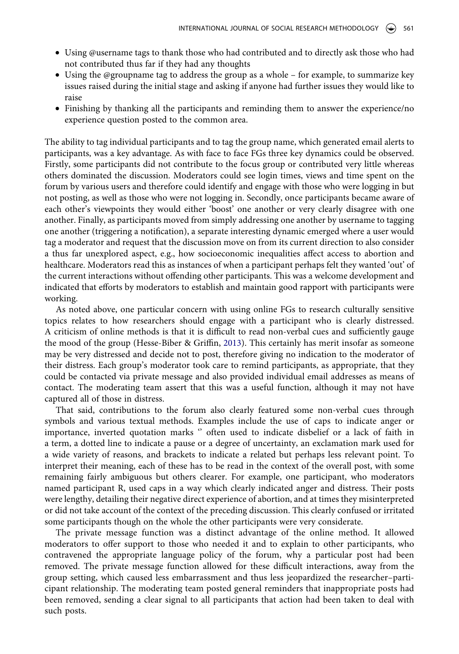- Using @username tags to thank those who had contributed and to directly ask those who had not contributed thus far if they had any thoughts
- Using the @groupname tag to address the group as a whole for example, to summarize key issues raised during the initial stage and asking if anyone had further issues they would like to raise
- Finishing by thanking all the participants and reminding them to answer the experience/no experience question posted to the common area.

The ability to tag individual participants and to tag the group name, which generated email alerts to participants, was a key advantage. As with face to face FGs three key dynamics could be observed. Firstly, some participants did not contribute to the focus group or contributed very little whereas others dominated the discussion. Moderators could see login times, views and time spent on the forum by various users and therefore could identify and engage with those who were logging in but not posting, as well as those who were not logging in. Secondly, once participants became aware of each other's viewpoints they would either 'boost' one another or very clearly disagree with one another. Finally, as participants moved from simply addressing one another by username to tagging one another (triggering a notification), a separate interesting dynamic emerged where a user would tag a moderator and request that the discussion move on from its current direction to also consider a thus far unexplored aspect, e.g., how socioeconomic inequalities affect access to abortion and healthcare. Moderators read this as instances of when a participant perhaps felt they wanted 'out' of the current interactions without offending other participants. This was a welcome development and indicated that efforts by moderators to establish and maintain good rapport with participants were working.

As noted above, one particular concern with using online FGs to research culturally sensitive topics relates to how researchers should engage with a participant who is clearly distressed. A criticism of online methods is that it is difficult to read non-verbal cues and sufficiently gauge the mood of the group (Hesse-Biber & Griffin, [2013](#page-14-3)). This certainly has merit insofar as someone may be very distressed and decide not to post, therefore giving no indication to the moderator of their distress. Each group's moderator took care to remind participants, as appropriate, that they could be contacted via private message and also provided individual email addresses as means of contact. The moderating team assert that this was a useful function, although it may not have captured all of those in distress.

That said, contributions to the forum also clearly featured some non-verbal cues through symbols and various textual methods. Examples include the use of caps to indicate anger or importance, inverted quotation marks '' often used to indicate disbelief or a lack of faith in a term, a dotted line to indicate a pause or a degree of uncertainty, an exclamation mark used for a wide variety of reasons, and brackets to indicate a related but perhaps less relevant point. To interpret their meaning, each of these has to be read in the context of the overall post, with some remaining fairly ambiguous but others clearer. For example, one participant, who moderators named participant R, used caps in a way which clearly indicated anger and distress. Their posts were lengthy, detailing their negative direct experience of abortion, and at times they misinterpreted or did not take account of the context of the preceding discussion. This clearly confused or irritated some participants though on the whole the other participants were very considerate.

The private message function was a distinct advantage of the online method. It allowed moderators to offer support to those who needed it and to explain to other participants, who contravened the appropriate language policy of the forum, why a particular post had been removed. The private message function allowed for these difficult interactions, away from the group setting, which caused less embarrassment and thus less jeopardized the researcher–participant relationship. The moderating team posted general reminders that inappropriate posts had been removed, sending a clear signal to all participants that action had been taken to deal with such posts.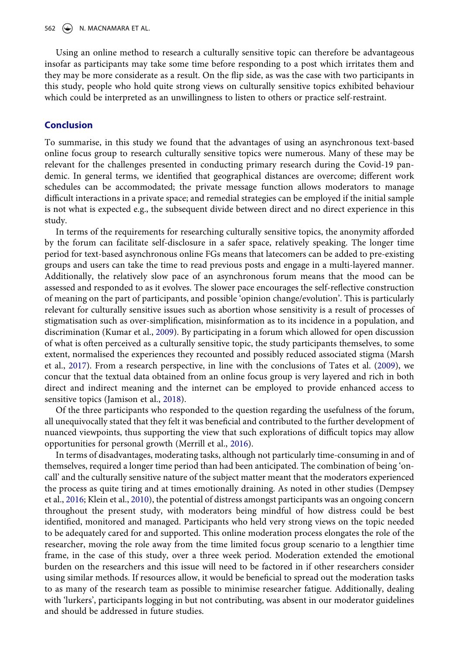562  $\left(\rightarrow\right)$  N. MACNAMARA ET AL.

Using an online method to research a culturally sensitive topic can therefore be advantageous insofar as participants may take some time before responding to a post which irritates them and they may be more considerate as a result. On the flip side, as was the case with two participants in this study, people who hold quite strong views on culturally sensitive topics exhibited behaviour which could be interpreted as an unwillingness to listen to others or practice self-restraint.

### **Conclusion**

To summarise, in this study we found that the advantages of using an asynchronous text-based online focus group to research culturally sensitive topics were numerous. Many of these may be relevant for the challenges presented in conducting primary research during the Covid-19 pandemic. In general terms, we identified that geographical distances are overcome; different work schedules can be accommodated; the private message function allows moderators to manage difficult interactions in a private space; and remedial strategies can be employed if the initial sample is not what is expected e.g., the subsequent divide between direct and no direct experience in this study.

In terms of the requirements for researching culturally sensitive topics, the anonymity afforded by the forum can facilitate self-disclosure in a safer space, relatively speaking. The longer time period for text-based asynchronous online FGs means that latecomers can be added to pre-existing groups and users can take the time to read previous posts and engage in a multi-layered manner. Additionally, the relatively slow pace of an asynchronous forum means that the mood can be assessed and responded to as it evolves. The slower pace encourages the self-reflective construction of meaning on the part of participants, and possible 'opinion change/evolution'. This is particularly relevant for culturally sensitive issues such as abortion whose sensitivity is a result of processes of stigmatisation such as over-simplification, misinformation as to its incidence in a population, and discrimination (Kumar et al., [2009\)](#page-14-10). By participating in a forum which allowed for open discussion of what is often perceived as a culturally sensitive topic, the study participants themselves, to some extent, normalised the experiences they recounted and possibly reduced associated stigma (Marsh et al., [2017\)](#page-14-14). From a research perspective, in line with the conclusions of Tates et al. ([2009\)](#page-14-1), we concur that the textual data obtained from an online focus group is very layered and rich in both direct and indirect meaning and the internet can be employed to provide enhanced access to sensitive topics (Jamison et al., [2018\)](#page-14-4).

Of the three participants who responded to the question regarding the usefulness of the forum, all unequivocally stated that they felt it was beneficial and contributed to the further development of nuanced viewpoints, thus supporting the view that such explorations of difficult topics may allow opportunities for personal growth (Merrill et al., [2016\)](#page-14-18).

In terms of disadvantages, moderating tasks, although not particularly time-consuming in and of themselves, required a longer time period than had been anticipated. The combination of being 'oncall' and the culturally sensitive nature of the subject matter meant that the moderators experienced the process as quite tiring and at times emotionally draining. As noted in other studies (Dempsey et al., [2016](#page-14-13); Klein et al., [2010](#page-14-12)), the potential of distress amongst participants was an ongoing concern throughout the present study, with moderators being mindful of how distress could be best identified, monitored and managed. Participants who held very strong views on the topic needed to be adequately cared for and supported. This online moderation process elongates the role of the researcher, moving the role away from the time limited focus group scenario to a lengthier time frame, in the case of this study, over a three week period. Moderation extended the emotional burden on the researchers and this issue will need to be factored in if other researchers consider using similar methods. If resources allow, it would be beneficial to spread out the moderation tasks to as many of the research team as possible to minimise researcher fatigue. Additionally, dealing with 'lurkers', participants logging in but not contributing, was absent in our moderator guidelines and should be addressed in future studies.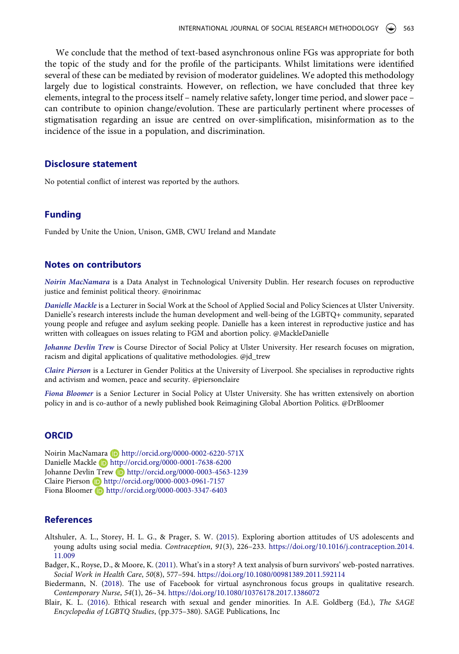We conclude that the method of text-based asynchronous online FGs was appropriate for both the topic of the study and for the profile of the participants. Whilst limitations were identified several of these can be mediated by revision of moderator guidelines. We adopted this methodology largely due to logistical constraints. However, on reflection, we have concluded that three key elements, integral to the process itself – namely relative safety, longer time period, and slower pace – can contribute to opinion change/evolution. These are particularly pertinent where processes of stigmatisation regarding an issue are centred on over-simplification, misinformation as to the incidence of the issue in a population, and discrimination.

#### **Disclosure statement**

No potential conflict of interest was reported by the authors.

### **Funding**

Funded by Unite the Union, Unison, GMB, CWU Ireland and Mandate

#### **Notes on contributors**

*Noirin MacNamara* is a Data Analyst in Technological University Dublin. Her research focuses on reproductive justice and feminist political theory. @noirinmac

*Danielle Mackle* is a Lecturer in Social Work at the School of Applied Social and Policy Sciences at Ulster University. Danielle's research interests include the human development and well-being of the LGBTQ+ community, separated young people and refugee and asylum seeking people. Danielle has a keen interest in reproductive justice and has written with colleagues on issues relating to FGM and abortion policy. @MackleDanielle

*Johanne Devlin Trew* is Course Director of Social Policy at Ulster University. Her research focuses on migration, racism and digital applications of qualitative methodologies. @jd\_trew

*Claire Pierson* is a Lecturer in Gender Politics at the University of Liverpool. She specialises in reproductive rights and activism and women, peace and security. @piersonclaire

*Fiona Bloomer* is a Senior Lecturer in Social Policy at Ulster University. She has written extensively on abortion policy in and is co-author of a newly published book Reimagining Global Abortion Politics. @DrBloomer

#### **ORCID**

Noirin MacNamara **http://orcid.org/0000-0002-6220-571X** Danielle Mackle **http://orcid.org/0000-0001-7638-6200** Johanne Devlin Trew D http://orcid.org/0000-0003-4563-1239 Claire Pierson **b** http://orcid.org/0000-0003-0961-7157 Fiona Bloomer **b** http://orcid.org/0000-0003-3347-6403

#### **References**

- <span id="page-13-2"></span>Altshuler, A. L., Storey, H. L. G., & Prager, S. W. ([2015](#page-7-0)). Exploring abortion attitudes of US adolescents and young adults using social media. *Contraception*, *91*(3), 226–233. [https://doi.org/10.1016/j.contraception.2014.](https://doi.org/10.1016/j.contraception.2014.11.009) [11.009](https://doi.org/10.1016/j.contraception.2014.11.009)
- <span id="page-13-1"></span>Badger, K., Royse, D., & Moore, K. ([2011](#page-6-0)). What's in a story? A text analysis of burn survivors' web-posted narratives. *Social Work in Health Care*, *50*(8), 577–594. <https://doi.org/10.1080/00981389.2011.592114>
- <span id="page-13-0"></span>Biedermann, N. [\(2018](#page-4-0)). The use of Facebook for virtual asynchronous focus groups in qualitative research. *Contemporary Nurse*, *54*(1), 26–34. <https://doi.org/10.1080/10376178.2017.1386072>
- <span id="page-13-3"></span>Blair, K. L. ([2016](#page-8-0)). Ethical research with sexual and gender minorities. In A.E. Goldberg (Ed.), *The SAGE Encyclopedia of LGBTQ Studies*, (pp.375–380). SAGE Publications, Inc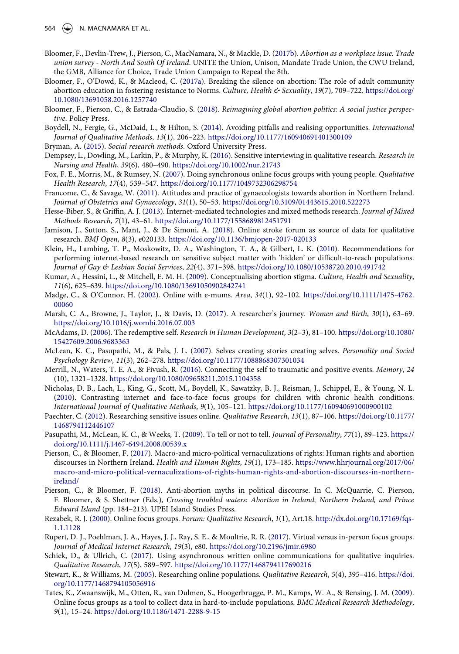564  $\bigodot$  N. MACNAMARA ET AL.

- <span id="page-14-11"></span>Bloomer, F., Devlin-Trew, J., Pierson, C., MacNamara, N., & Mackle, D. ([2017b](#page-4-1)). *Abortion as a workplace issue: Trade union survey - North And South Of Ireland*. UNITE the Union, Unison, Mandate Trade Union, the CWU Ireland, the GMB, Alliance for Choice, Trade Union Campaign to Repeal the 8th.
- <span id="page-14-6"></span>Bloomer, F., O'Dowd, K., & Macleod, C. [\(2017a](#page-4-2)). Breaking the silence on abortion: The role of adult community abortion education in fostering resistance to Norms. *Culture, Health & Sexuality*, *19*(7), 709–722. [https://doi.org/](https://doi.org/10.1080/13691058.2016.1257740) [10.1080/13691058.2016.1257740](https://doi.org/10.1080/13691058.2016.1257740)
- <span id="page-14-8"></span>Bloomer, F., Pierson, C., & Estrada-Claudio, S. ([2018](#page-4-3)). *Reimagining global abortion politics: A social justice perspective*. Policy Press.
- <span id="page-14-20"></span>Boydell, N., Fergie, G., McDaid, L., & Hilton, S. [\(2014](#page-5-0)). Avoiding pitfalls and realising opportunities. *International Journal of Qualitative Methods*, *13*(1), 206–223. <https://doi.org/10.1177/160940691401300109>
- <span id="page-14-0"></span>Bryman, A. ([2015](#page-3-0)). *Social research methods*. Oxford University Press.
- <span id="page-14-13"></span>Dempsey, L., Dowling, M., Larkin, P., & Murphy, K. [\(2016](#page-5-1)). Sensitive interviewing in qualitative research. *Research in Nursing and Health*, *39*(6), 480–490. <https://doi.org/10.1002/nur.21743>
- <span id="page-14-22"></span>Fox, F. E., Morris, M., & Rumsey, N. ([2007](#page-5-2)). Doing synchronous online focus groups with young people. *Qualitative Health Research*, *17*(4), 539–547. <https://doi.org/10.1177/1049732306298754>
- <span id="page-14-26"></span>Francome, C., & Savage, W. [\(2011](#page-7-0)). Attitudes and practice of gynaecologists towards abortion in Northern Ireland. *Journal of Obstetrics and Gynaecology*, *31*(1), 50–53. <https://doi.org/10.3109/01443615.2010.522273>
- <span id="page-14-3"></span>Hesse-Biber, S., & Griffin, A. J. ([2013](#page-3-1)). Internet-mediated technologies and mixed methods research. *Journal of Mixed Methods Research*, *7*(1), 43–61. <https://doi.org/10.1177/1558689812451791>
- <span id="page-14-4"></span>Jamison, J., Sutton, S., Mant, J., & De Simoni, A. [\(2018](#page-3-2)). Online stroke forum as source of data for qualitative research. *BMJ Open*, *8*(3), e020133.<https://doi.org/10.1136/bmjopen-2017-020133>
- <span id="page-14-12"></span>Klein, H., Lambing, T. P., Moskowitz, D. A., Washington, T. A., & Gilbert, L. K. [\(2010\)](#page-4-4). Recommendations for performing internet-based research on sensitive subject matter with 'hidden' or difficult-to-reach populations. *Journal of Gay & Lesbian Social Services*, *22*(4), 371–398. <https://doi.org/10.1080/10538720.2010.491742>
- <span id="page-14-10"></span>Kumar, A., Hessini, L., & Mitchell, E. M. H. [\(2009](#page-4-5)). Conceptualising abortion stigma. *Culture, Health and Sexuality*, *11*(6), 625–639. <https://doi.org/10.1080/13691050902842741>
- <span id="page-14-23"></span>Madge, C., & O'Connor, H. [\(2002\)](#page-5-3). Online with e-mums. *Area*, *34*(1), 92–102. [https://doi.org/10.1111/1475-4762.](https://doi.org/10.1111/1475-4762.00060) [00060](https://doi.org/10.1111/1475-4762.00060)
- <span id="page-14-14"></span>Marsh, C. A., Browne, J., Taylor, J., & Davis, D. [\(2017](#page-5-4)). A researcher's journey. *Women and Birth*, *30*(1), 63–69. <https://doi.org/10.1016/j.wombi.2016.07.003>
- <span id="page-14-15"></span>McAdams, D. ([2006](#page-5-5)). The redemptive self. *Research in Human Development*, *3*(2–3), 81–100. [https://doi.org/10.1080/](https://doi.org/10.1080/15427609.2006.9683363) [15427609.2006.9683363](https://doi.org/10.1080/15427609.2006.9683363)
- <span id="page-14-17"></span>McLean, K. C., Pasupathi, M., & Pals, J. L. ([2007](#page-5-6)). Selves creating stories creating selves. *Personality and Social Psychology Review*, *11*(3), 262–278. <https://doi.org/10.1177/1088868307301034>
- <span id="page-14-18"></span>Merrill, N., Waters, T. E. A., & Fivush, R. ([2016](#page-5-7)). Connecting the self to traumatic and positive events. *Memory*, *24*  (10), 1321–1328. <https://doi.org/10.1080/09658211.2015.1104358>
- <span id="page-14-19"></span>Nicholas, D. B., Lach, L., King, G., Scott, M., Boydell, K., Sawatzky, B. J., Reisman, J., Schippel, E., & Young, N. L. ([2010](#page-5-2)). Contrasting internet and face-to-face focus groups for children with chronic health conditions. *International Journal of Qualitative Methods*, *9*(1), 105–121. <https://doi.org/10.1177/160940691000900102>
- <span id="page-14-5"></span>Paechter, C. [\(2012](#page-3-3)). Researching sensitive issues online. *Qualitative Research*, *13*(1), 87–106. [https://doi.org/10.1177/](https://doi.org/10.1177/1468794112446107) [1468794112446107](https://doi.org/10.1177/1468794112446107)
- <span id="page-14-16"></span>Pasupathi, M., McLean, K. C., & Weeks, T. ([2009](#page-5-8)). To tell or not to tell. *Journal of Personality*, *77*(1), 89–123. [https://](https://doi.org/10.1111/j.1467-6494.2008.00539.x) [doi.org/10.1111/j.1467-6494.2008.00539.x](https://doi.org/10.1111/j.1467-6494.2008.00539.x)
- <span id="page-14-7"></span>Pierson, C., & Bloomer, F. ([2017](#page-4-6)). Macro-and micro-political vernaculizations of rights: Human rights and abortion discourses in Northern Ireland. *Health and Human Rights*, *19*(1), 173–185. [https://www.hhrjournal.org/2017/06/](https://www.hhrjournal.org/2017/06/macro-and-micro-political-vernaculizations-of-rights-human-rights-and-abortion-discourses-in-northern-ireland/) [macro-and-micro-political-vernaculizations-of-rights-human-rights-and-abortion-discourses-in-northern](https://www.hhrjournal.org/2017/06/macro-and-micro-political-vernaculizations-of-rights-human-rights-and-abortion-discourses-in-northern-ireland/)[ireland/](https://www.hhrjournal.org/2017/06/macro-and-micro-political-vernaculizations-of-rights-human-rights-and-abortion-discourses-in-northern-ireland/)
- <span id="page-14-9"></span>Pierson, C., & Bloomer, F. ([2018\)](#page-4-3). Anti-abortion myths in political discourse. In C. McQuarrie, C. Pierson, F. Bloomer, & S. Shettner (Eds.), *Crossing troubled waters: Abortion in Ireland, Northern Ireland, and Prince Edward Island* (pp. 184–213). UPEI Island Studies Press.
- <span id="page-14-2"></span>Rezabek, R. J. [\(2000](#page-3-4)). Online focus groups. *Forum: Qualitative Research*, *1*(1), Art.18. [http://dx.doi.org/10.17169/fqs-](http://dx.doi.org/10.17169/fqs-1.1.1128)[1.1.1128](http://dx.doi.org/10.17169/fqs-1.1.1128)
- <span id="page-14-21"></span>Rupert, D. J., Poehlman, J. A., Hayes, J. J., Ray, S. E., & Moultrie, R. R. [\(2017\)](#page-5-9). Virtual versus in-person focus groups. *Journal of Medical Internet Research*, *19*(3), e80.<https://doi.org/10.2196/jmir.6980>
- <span id="page-14-25"></span>Schiek, D., & Ullrich, C. ([2017](#page-6-1)). Using asynchronous written online communications for qualitative inquiries. *Qualitative Research*, *17*(5), 589–597. <https://doi.org/10.1177/1468794117690216>
- <span id="page-14-24"></span>Stewart, K., & Williams, M. ([2005](#page-6-2)). Researching online populations. *Qualitative Research*, *5*(4), 395–416. [https://doi.](https://doi.org/10.1177/1468794105056916) [org/10.1177/1468794105056916](https://doi.org/10.1177/1468794105056916)
- <span id="page-14-1"></span>Tates, K., Zwaanswijk, M., Otten, R., van Dulmen, S., Hoogerbrugge, P. M., Kamps, W. A., & Bensing, J. M. [\(2009](#page-3-5)). Online focus groups as a tool to collect data in hard-to-include populations. *BMC Medical Research Methodology*, *9*(1), 15–24. <https://doi.org/10.1186/1471-2288-9-15>